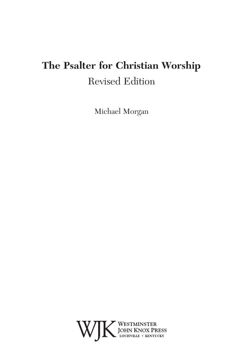# **The Psalter for Christian Worship** Revised Edition

Michael Morgan

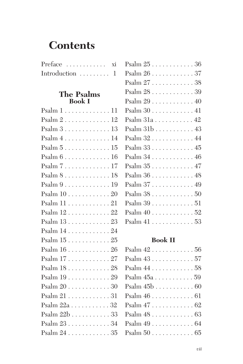### **Contents**

| $Preface$                    |  |  |  |  |  |  | X1 |
|------------------------------|--|--|--|--|--|--|----|
| Introduction $\dots \dots 1$ |  |  |  |  |  |  |    |

#### **The Psalms Book I**

| $\operatorname{Psalm} 1 \ldots \ldots \ldots \ldots 11$ |  |  |  |  |  |  |    |
|---------------------------------------------------------|--|--|--|--|--|--|----|
| Psalm $2 \ldots \ldots \ldots \ldots 12$                |  |  |  |  |  |  |    |
| Psalm $3 \ldots \ldots \ldots \ldots 13$                |  |  |  |  |  |  |    |
| Psalm $4 \ldots \ldots \ldots \ldots 14$                |  |  |  |  |  |  |    |
| Psalm $5 \ldots \ldots \ldots \ldots 15$                |  |  |  |  |  |  |    |
| Psalm $6 \ldots \ldots \ldots \ldots$                   |  |  |  |  |  |  | 16 |
| Psalm $7 \ldots \ldots \ldots \ldots 17$                |  |  |  |  |  |  |    |
| Psalm $8 \ldots \ldots \ldots \ldots$                   |  |  |  |  |  |  | 18 |
| Psalm $9 \ldots \ldots \ldots \ldots 19$                |  |  |  |  |  |  |    |
|                                                         |  |  |  |  |  |  |    |
|                                                         |  |  |  |  |  |  |    |
| Psalm $12$ 22                                           |  |  |  |  |  |  |    |
| Psalm 13 23                                             |  |  |  |  |  |  |    |
| Psalm $14$ 24                                           |  |  |  |  |  |  |    |
| Psalm $15 \ldots 25$                                    |  |  |  |  |  |  |    |
| Psalm $16$ 26                                           |  |  |  |  |  |  |    |
| Psalm 17 27                                             |  |  |  |  |  |  |    |
| Psalm $18$ 28                                           |  |  |  |  |  |  |    |
| Psalm 19 29                                             |  |  |  |  |  |  |    |
| Psalm $20$ 30                                           |  |  |  |  |  |  |    |
| Psalm $21$ 31                                           |  |  |  |  |  |  |    |
| Psalm $22a \ldots \ldots \ldots 32$                     |  |  |  |  |  |  |    |
| Psalm $22b$ 33                                          |  |  |  |  |  |  |    |
| Psalm $23 \ldots \ldots \ldots \ldots 34$               |  |  |  |  |  |  |    |
| Psalm $24$ 35                                           |  |  |  |  |  |  |    |

| $\operatorname{Psalm}\ 25\ \ldots\ \ldots\ \ldots\ 36$ |  |  |  |  |  |  |  |
|--------------------------------------------------------|--|--|--|--|--|--|--|
| Psalm $26$ 37                                          |  |  |  |  |  |  |  |
| Psalm $27$ 38                                          |  |  |  |  |  |  |  |
| Psalm $28 \ldots  39$                                  |  |  |  |  |  |  |  |
| Psalm $29 \ldots  40$                                  |  |  |  |  |  |  |  |
|                                                        |  |  |  |  |  |  |  |
| Psalm $31a$ $42$                                       |  |  |  |  |  |  |  |
| Psalm $31b$ $43$                                       |  |  |  |  |  |  |  |
| Psalm $32$ 44                                          |  |  |  |  |  |  |  |
| Psalm $33$ 45                                          |  |  |  |  |  |  |  |
| Psalm $34$ 46                                          |  |  |  |  |  |  |  |
| Psalm $35 \ldots $ 47                                  |  |  |  |  |  |  |  |
| Psalm $36$ 48                                          |  |  |  |  |  |  |  |
| Psalm $37 \ldots$ 49                                   |  |  |  |  |  |  |  |
| Psalm $38 \ldots  50$                                  |  |  |  |  |  |  |  |
| Psalm $39 \ldots  51$                                  |  |  |  |  |  |  |  |
| Psalm $40$ 52                                          |  |  |  |  |  |  |  |
| Psalm $41$ 53                                          |  |  |  |  |  |  |  |

#### **Book II**

| Psalm $42$ 56                      |
|------------------------------------|
| Psalm $43$ $57$                    |
| Psalm $44$ 58                      |
| Psalm $45a$ $59$                   |
|                                    |
| Psalm $46 \ldots \ldots \ldots 61$ |
| Psalm $47$ 62                      |
|                                    |
| Psalm $49 \ldots $ . 64            |
| Psalm $50$ 65                      |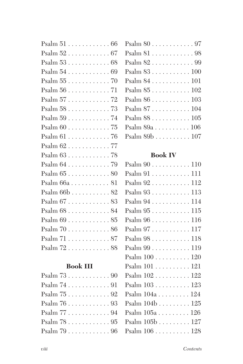| Psalm 51                         |     |                          |                                                       |  |                      |                                                                                         |                      |  | 66 |
|----------------------------------|-----|--------------------------|-------------------------------------------------------|--|----------------------|-----------------------------------------------------------------------------------------|----------------------|--|----|
| Psalm $52$                       |     |                          |                                                       |  |                      |                                                                                         |                      |  | 67 |
| Psalm $53$                       |     |                          |                                                       |  |                      |                                                                                         |                      |  | 68 |
| Psalm $54$                       |     |                          |                                                       |  |                      |                                                                                         |                      |  | 69 |
| Psalm 55.                        |     |                          | .                                                     |  |                      |                                                                                         |                      |  | 70 |
| Psalm $56$                       |     |                          |                                                       |  |                      | $\mathcal{L}^{\mathcal{L}}$ , $\mathcal{L}^{\mathcal{L}}$ , $\mathcal{L}^{\mathcal{L}}$ |                      |  | 71 |
| $Psalm 57 \ldots \ldots$         |     |                          |                                                       |  |                      |                                                                                         |                      |  | 72 |
| Psalm 58.                        |     |                          | $\frac{1}{2}$ , $\frac{1}{2}$ , $\frac{1}{2}$ ,       |  |                      |                                                                                         | a a la la            |  | 73 |
| $Psalm 59 \ldots$                |     |                          |                                                       |  |                      |                                                                                         |                      |  | 74 |
| Psalm 60                         |     | l.                       | $\ldots$ .                                            |  |                      | $\alpha$ , $\alpha$ , $\alpha$                                                          |                      |  | 75 |
| Psalm 61                         |     | $\overline{\phantom{a}}$ | .                                                     |  |                      |                                                                                         |                      |  | 76 |
| Psalm 62                         |     |                          | .                                                     |  |                      |                                                                                         |                      |  | 77 |
| Psalm 63.                        |     |                          | $\bar{z}$ , $\bar{z}$ , $\bar{z}$                     |  |                      |                                                                                         | a a la la            |  | 78 |
| Psalm 64                         |     |                          | .                                                     |  |                      |                                                                                         |                      |  | 79 |
| Psalm 65                         |     |                          | .                                                     |  |                      |                                                                                         |                      |  | 80 |
| Psalm $66a$                      |     |                          |                                                       |  |                      |                                                                                         |                      |  | 81 |
| $Psalm 66b \ldots \ldots \ldots$ |     |                          |                                                       |  |                      |                                                                                         |                      |  | 82 |
| Psalm 67                         |     |                          | $\overline{1}$ , $\overline{1}$ , $\overline{1}$      |  | $\ddot{\phantom{0}}$ |                                                                                         | .                    |  | 83 |
| Psalm 68.                        |     |                          | .                                                     |  |                      |                                                                                         |                      |  | 84 |
| Psalm                            | 69. |                          |                                                       |  |                      |                                                                                         |                      |  | 85 |
| Psalm                            | 70  |                          | $\overline{1}$ , $\overline{1}$ , $\overline{1}$ ,    |  |                      |                                                                                         | $\sim$ $\sim$ $\sim$ |  | 86 |
| Psalm $71$                       |     |                          |                                                       |  |                      |                                                                                         |                      |  | 87 |
| Psalm 72                         |     |                          | $\mathbb{R}^n$ . The set of the set of $\mathbb{R}^n$ |  |                      |                                                                                         |                      |  | 88 |
|                                  |     |                          |                                                       |  |                      |                                                                                         |                      |  |    |

#### **Book III**

| Psalm 75 92 |  |  |  |  |  |  |  |
|-------------|--|--|--|--|--|--|--|
| Psalm 76 93 |  |  |  |  |  |  |  |
| Psalm 77 94 |  |  |  |  |  |  |  |
| Psalm 78 95 |  |  |  |  |  |  |  |
| Psalm 79 96 |  |  |  |  |  |  |  |

| $\operatorname{Psalm}\nolimits 81\ldots\ldots\ldots\ldots98$ |  |  |  |  |  |  |  |
|--------------------------------------------------------------|--|--|--|--|--|--|--|
| Psalm 82 99                                                  |  |  |  |  |  |  |  |
|                                                              |  |  |  |  |  |  |  |
| Psalm $84$ 101                                               |  |  |  |  |  |  |  |
| Psalm $85$ 102                                               |  |  |  |  |  |  |  |
| Psalm $86$ 103                                               |  |  |  |  |  |  |  |
|                                                              |  |  |  |  |  |  |  |
| Psalm $88$ 105                                               |  |  |  |  |  |  |  |
| Psalm $89$ a 106                                             |  |  |  |  |  |  |  |
| Psalm $89b$ $107$                                            |  |  |  |  |  |  |  |
|                                                              |  |  |  |  |  |  |  |

#### **Book IV**

| Psalm $90 \ldots \ldots \ldots 110$  |  |  |  |  |  |  |  |
|--------------------------------------|--|--|--|--|--|--|--|
| Psalm 91 111                         |  |  |  |  |  |  |  |
| Psalm 92 112                         |  |  |  |  |  |  |  |
| Psalm 93 113                         |  |  |  |  |  |  |  |
| Psalm 94 114                         |  |  |  |  |  |  |  |
| Psalm 95 115                         |  |  |  |  |  |  |  |
| Psalm 96 116                         |  |  |  |  |  |  |  |
| Psalm 97 117                         |  |  |  |  |  |  |  |
| Psalm 98 118                         |  |  |  |  |  |  |  |
| Psalm 99 119                         |  |  |  |  |  |  |  |
| Psalm 100 120                        |  |  |  |  |  |  |  |
| Psalm $101$ 121                      |  |  |  |  |  |  |  |
| Psalm 102 122                        |  |  |  |  |  |  |  |
| Psalm 103 123                        |  |  |  |  |  |  |  |
| Psalm 104a 124                       |  |  |  |  |  |  |  |
| Psalm 104b 125                       |  |  |  |  |  |  |  |
| Psalm 105a 126                       |  |  |  |  |  |  |  |
| Psalm 105b 127                       |  |  |  |  |  |  |  |
| Psalm $106 \ldots \ldots \ldots 128$ |  |  |  |  |  |  |  |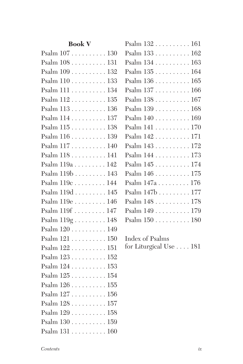#### **Book V**

| Psalm $107 \ldots \ldots \ldots$                            | 130   |
|-------------------------------------------------------------|-------|
| Psalm<br>$108 \ldots $<br>$\mathbf{r}$                      | 131   |
| Psalm $109$<br>$\mathbf{r}$                                 | 132   |
| Psalm $110$<br>$\ddot{\phantom{a}}$                         | 133   |
| Psalm $111$<br>$\overline{a}$                               | 134   |
| Psalm $112$                                                 | . 135 |
| $Psalm 113 \ldots$                                          | 136   |
| Psalm $114$                                                 | . 137 |
| Psalm $115$<br>$\ddot{\phantom{0}}$                         | 138   |
| Psalm $116$<br>$\mathbf{r}$                                 | 139   |
| Psalm $117$                                                 | . 140 |
| Psalm $118$                                                 | . 141 |
| Psalm $119a$                                                | 142   |
| Psalm 119b 143                                              |       |
| Psalm $119c \ldots \ldots \ldots 144$                       |       |
| Psalm 119d 145                                              |       |
| Psalm $119e$ 146                                            |       |
| Psalm $119f$                                                | 147   |
| Psalm $119g$ $148$                                          |       |
| Psalm $120$                                                 | . 149 |
| Psalm 121 150                                               |       |
| Psalm $122$<br>$\overline{a}$                               | 151   |
| Psalm $123$<br>l.                                           | 152   |
| Psalm $124$<br>$\overline{a}$                               | 153   |
| Psalm<br>125<br>$\ddot{\phantom{a}}$                        | 154   |
| Psalm $126$<br>$\mathbf{r}$                                 | 155   |
| Psalm<br>$127 \ldots \ldots \ldots$<br>$\ddot{\phantom{0}}$ | 156   |
| Psalm $128$<br>$\overline{a}$                               | 157   |
| Psalm $129$<br>$\overline{a}$                               | 158   |
| Psalm $130$                                                 | 159   |
| Psalm 131<br>$\ddot{\phantom{a}}$<br>.                      | 160   |

| Psalm 132 161   |  |  |  |  |  |  |
|-----------------|--|--|--|--|--|--|
| Psalm 133 162   |  |  |  |  |  |  |
| Psalm 134 163   |  |  |  |  |  |  |
| Psalm 135 164   |  |  |  |  |  |  |
| Psalm 136 165   |  |  |  |  |  |  |
| Psalm 137 166   |  |  |  |  |  |  |
| Psalm 138 167   |  |  |  |  |  |  |
| Psalm 139 168   |  |  |  |  |  |  |
| Psalm 140 169   |  |  |  |  |  |  |
| Psalm 141 170   |  |  |  |  |  |  |
| Psalm 142 171   |  |  |  |  |  |  |
| Psalm 143 172   |  |  |  |  |  |  |
| Psalm 144 173   |  |  |  |  |  |  |
| Psalm 145 174   |  |  |  |  |  |  |
| Psalm 146 175   |  |  |  |  |  |  |
| Psalm 147a 176  |  |  |  |  |  |  |
| Psalm 147b 177  |  |  |  |  |  |  |
| Psalm 148 178   |  |  |  |  |  |  |
| Psalm 149 179   |  |  |  |  |  |  |
| Psalm $150$ 180 |  |  |  |  |  |  |
|                 |  |  |  |  |  |  |

Index of Psalms for Liturgical Use . . . . 181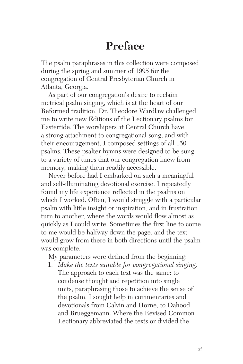### **Preface**

The psalm paraphrases in this collection were composed during the spring and summer of 1995 for the congregation of Central Presbyterian Church in Atlanta, Georgia.

As part of our congregation's desire to reclaim metrical psalm singing, which is at the heart of our Reformed tradition, Dr. Theodore Wardlaw challenged me to write new Editions of the Lectionary psalms for Eastertide. The worshipers at Central Church have a strong attachment to congregational song, and with their encouragement, I composed settings of all 150 psalms. These psalter hymns were designed to be sung to a variety of tunes that our congregation knew from memory, making them readily accessible.

Never before had I embarked on such a meaningful and self-illuminating devotional exercise. I repeatedly found my life experience reflected in the psalms on which I worked. Often, I would struggle with a particular psalm with little insight or inspiration, and in frustration turn to another, where the words would flow almost as quickly as I could write. Sometimes the first line to come to me would be halfway down the page, and the text would grow from there in both directions until the psalm was complete.

My parameters were defined from the beginning:

1. *Make the texts suitable for congregational singing.* The approach to each text was the same: to condense thought and repetition into single units, paraphrasing those to achieve the sense of the psalm. I sought help in commentaries and devotionals from Calvin and Horne, to Dahood and Brueggemann. Where the Revised Common Lectionary abbreviated the texts or divided the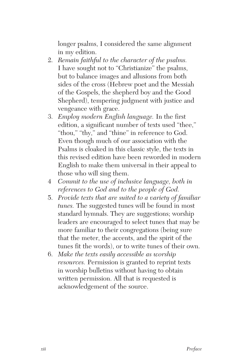longer psalms, I considered the same alignment in my edition.

- 2. *Remain faithful to the character of the psalms.* I have sought not to "Christianize" the psalms, but to balance images and allusions from both sides of the cross (Hebrew poet and the Messiah of the Gospels, the shepherd boy and the Good Shepherd), tempering judgment with justice and vengeance with grace.
- 3. *Employ modern English language.* In the first edition, a significant number of texts used "thee," "thou," "thy," and "thine" in reference to God. Even though much of our association with the Psalms is cloaked in this classic style, the texts in this revised edition have been reworded in modern English to make them universal in their appeal to those who will sing them.
- 4 *Commit to the use of inclusive language, both in references to God and to the people of God.*
- 5. *Provide texts that are suited to a variety of familiar tunes.* The suggested tunes will be found in most standard hymnals. They are suggestions; worship leaders are encouraged to select tunes that may be more familiar to their congregations (being sure that the meter, the accents, and the spirit of the tunes fit the words), or to write tunes of their own.
- 6. *Make the texts easily accessible as worship resources.* Permission is granted to reprint texts in worship bulletins without having to obtain written permission. All that is requested is acknowledgement of the source.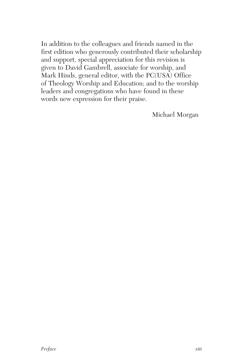In addition to the colleagues and friends named in the first edition who generously contributed their scholarship and support, special appreciation for this revision is given to David Gambrell, associate for worship, and Mark Hinds, general editor, with the PC(USA) Office of Theology Worship and Education; and to the worship leaders and congregations who have found in these words new expression for their praise.

Michael Morgan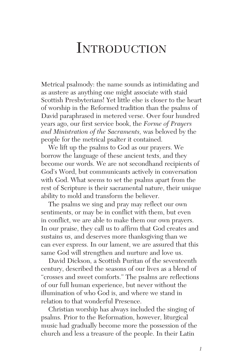# **INTRODUCTION**

Metrical psalmody: the name sounds as intimidating and as austere as anything one might associate with staid Scottish Presbyterians! Yet little else is closer to the heart of worship in the Reformed tradition than the psalms of David paraphrased in metered verse. Over four hundred years ago, our first service book, the *Forme of Prayers and Ministration of the Sacraments,* was beloved by the people for the metrical psalter it contained.

We lift up the psalms to God as our prayers. We borrow the language of these ancient texts, and they become our words. We are not secondhand recipients of God's Word, but communicants actively in conversation with God. What seems to set the psalms apart from the rest of Scripture is their sacramental nature, their unique ability to mold and transform the believer.

The psalms we sing and pray may reflect our own sentiments, or may be in conflict with them, but even in conflict, we are able to make them our own prayers. In our praise, they call us to affirm that God creates and sustains us, and deserves more thanksgiving than we can ever express. In our lament, we are assured that this same God will strengthen and nurture and love us.

David Dickson, a Scottish Puritan of the seventeenth century, described the seasons of our lives as a blend of "crosses and sweet comforts." The psalms are reflections of our full human experience, but never without the illumination of who God is, and where we stand in relation to that wonderful Presence.

Christian worship has always included the singing of psalms. Prior to the Reformation, however, liturgical music had gradually become more the possession of the church and less a treasure of the people. In their Latin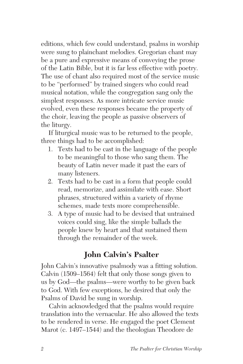editions, which few could understand, psalms in worship were sung to plainchant melodies. Gregorian chant may be a pure and expressive means of conveying the prose of the Latin Bible, but it is far less effective with poetry. The use of chant also required most of the service music to be "performed" by trained singers who could read musical notation, while the congregation sang only the simplest responses. As more intricate service music evolved, even these responses became the property of the choir, leaving the people as passive observers of the liturgy.

If liturgical music was to be returned to the people, three things had to be accomplished:

- 1. Texts had to be cast in the language of the people to be meaningful to those who sang them. The beauty of Latin never made it past the ears of many listeners.
- 2. Texts had to be cast in a form that people could read, memorize, and assimilate with ease. Short phrases, structured within a variety of rhyme schemes, made texts more comprehensible.
- 3. A type of music had to be devised that untrained voices could sing, like the simple ballads the people knew by heart and that sustained them through the remainder of the week.

#### **John Calvin's Psalter**

John Calvin's innovative psalmody was a fitting solution. Calvin (1509–1564) felt that only those songs given to us by God—the psalms—were worthy to be given back to God. With few exceptions, he desired that only the Psalms of David be sung in worship.

Calvin acknowledged that the psalms would require translation into the vernacular. He also allowed the texts to be rendered in verse. He engaged the poet Clement Marot (c. 1497–1544) and the theologian Theodore de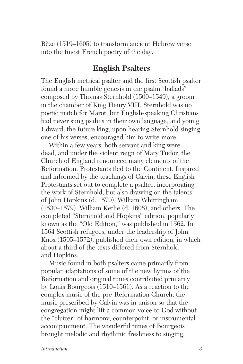Bèze (1519–1605) to transform ancient Hebrew verse into the finest French poetry of the day.

#### **English Psalters**

The English metrical psalter and the first Scottish psalter found a more humble genesis in the psalm "ballads" composed by Thomas Sternhold (1500–1549), a groom in the chamber of King Henry VIII. Sternhold was no poetic match for Marot, but English-speaking Christians had never sung psalms in their own language, and young Edward, the future king, upon hearing Sternhold singing one of his verses, encouraged him to write more.

Within a few years, both servant and king were dead, and under the violent reign of Mary Tudor, the Church of England renounced many elements of the Reformation. Protestants fled to the Continent. Inspired and informed by the teachings of Calvin, these English Protestants set out to complete a psalter, incorporating the work of Sternhold, but also drawing on the talents of John Hopkins (d. 1570), William Whittingham (1530–1579), William Kethe (d. 1608), and others. The completed "Sternhold and Hopkins" edition, popularly known as the "Old Edition," was published in 1562. In 1564 Scottish refugees, under the leadership of John Knox (1505–1572), published their own edition, in which about a third of the texts differed from Sternhold and Hopkins.

Music found in both psalters came primarily from popular adaptations of some of the new hymns of the Reformation and original tunes contributed primarily by Louis Bourgeois (1510–1561). As a reaction to the complex music of the pre-Reformation Church, the music prescribed by Calvin was in unison so that the congregation might lift a common voice to God without the "clutter" of harmony, counterpoint, or instrumental accompaniment. The wonderful tunes of Bourgeois brought melodic and rhythmic freshness to singing.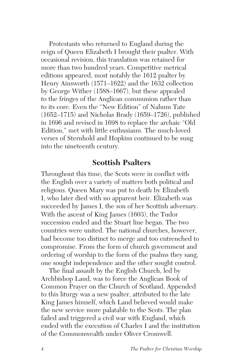Protestants who returned to England during the reign of Queen Elizabeth I brought their psalter. With occasional revision, this translation was retained for more than two hundred years. Competitive metrical editions appeared, most notably the 1612 psalter by Henry Ainsworth (1571–1622) and the 1632 collection by George Wither (1588–1667), but these appealed to the fringes of the Anglican communion rather than to its core. Even the "New Edition" of Nahum Tate (1652–1715) and Nicholas Brady (1659–1726), published in 1696 and revised in 1698 to replace the archaic "Old Edition," met with little enthusiasm. The much-loved verses of Sternhold and Hopkins continued to be sung into the nineteenth century.

#### **Scottish Psalters**

Throughout this time, the Scots were in conflict with the English over a variety of matters both political and religious. Queen Mary was put to death by Elizabeth I, who later died with no apparent heir. Elizabeth was succeeded by James I, the son of her Scottish adversary. With the ascent of King James (1603), the Tudor succession ended and the Stuart line began. The two countries were united. The national churches, however, had become too distinct to merge and too entrenched to compromise. From the form of church government and ordering of worship to the form of the psalms they sang, one sought independence and the other sought control.

The final assault by the English Church, led by Archbishop Laud, was to force the Anglican Book of Common Prayer on the Church of Scotland. Appended to this liturgy was a new psalter, attributed to the late King James himself, which Laud believed would make the new service more palatable to the Scots. The plan failed and triggered a civil war with England, which ended with the execution of Charles I and the institution of the Commonwealth under Oliver Cromwell.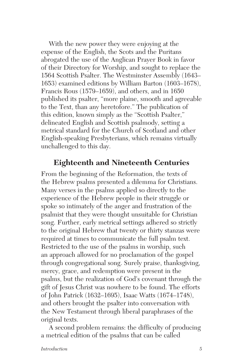With the new power they were enjoying at the expense of the English, the Scots and the Puritans abrogated the use of the Anglican Prayer Book in favor of their Directory for Worship, and sought to replace the 1564 Scottish Psalter. The Westminster Assembly (1643– 1653) examined editions by William Barton (1603–1678), Francis Rous (1579–1659), and others, and in 1650 published its psalter, "more plaine, smooth and agreeable to the Text, than any heretofore." The publication of this edition, known simply as the "Scottish Psalter," delineated English and Scottish psalmody, setting a metrical standard for the Church of Scotland and other English-speaking Presbyterians, which remains virtually unchallenged to this day.

#### **Eighteenth and Nineteenth Centuries**

From the beginning of the Reformation, the texts of the Hebrew psalms presented a dilemma for Christians. Many verses in the psalms applied so directly to the experience of the Hebrew people in their struggle or spoke so intimately of the anger and frustration of the psalmist that they were thought unsuitable for Christian song. Further, early metrical settings adhered so strictly to the original Hebrew that twenty or thirty stanzas were required at times to communicate the full psalm text. Restricted to the use of the psalms in worship, such an approach allowed for no proclamation of the gospel through congregational song. Surely praise, thanksgiving, mercy, grace, and redemption were present in the psalms, but the realization of God's covenant through the gift of Jesus Christ was nowhere to be found. The efforts of John Patrick (1632–1695), Isaac Watts (1674–1748), and others brought the psalter into conversation with the New Testament through liberal paraphrases of the original texts.

A second problem remains: the difficulty of producing a metrical edition of the psalms that can be called

*Introduction 5*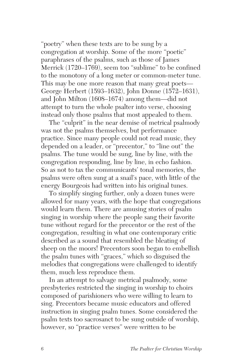"poetry" when these texts are to be sung by a congregation at worship. Some of the more "poetic" paraphrases of the psalms, such as those of James Merrick (1720–1769), seem too "sublime" to be confined to the monotony of a long meter or common-meter tune. This may be one more reason that many great poets— George Herbert (1593–1632), John Donne (1572–1631), and John Milton (1608–1674) among them—did not attempt to turn the whole psalter into verse, choosing instead only those psalms that most appealed to them.

The "culprit" in the near demise of metrical psalmody was not the psalms themselves, but performance practice. Since many people could not read music, they depended on a leader, or "precentor," to "line out" the psalms. The tune would be sung, line by line, with the congregation responding, line by line, in echo fashion. So as not to tax the communicants' tonal memories, the psalms were often sung at a snail's pace, with little of the energy Bourgeois had written into his original tunes.

To simplify singing further, only a dozen tunes were allowed for many years, with the hope that congregations would learn them. There are amusing stories of psalm singing in worship where the people sang their favorite tune without regard for the precentor or the rest of the congregation, resulting in what one contemporary critic described as a sound that resembled the bleating of sheep on the moors! Precentors soon began to embellish the psalm tunes with "graces," which so disguised the melodies that congregations were challenged to identify them, much less reproduce them.

In an attempt to salvage metrical psalmody, some presbyteries restricted the singing in worship to choirs composed of parishioners who were willing to learn to sing. Precentors became music educators and offered instruction in singing psalm tunes. Some considered the psalm texts too sacrosanct to be sung outside of worship, however, so "practice verses" were written to be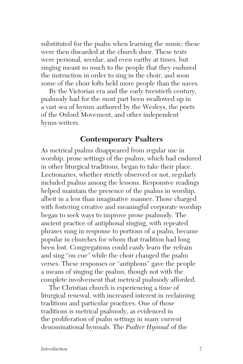substituted for the psalm when learning the music; these were then discarded at the church door. These texts were personal, secular, and even earthy at times, but singing meant so much to the people that they endured the instruction in order to sing in the choir, and soon some of the choir lofts held more people than the naves.

By the Victorian era and the early twentieth century, psalmody had for the most part been swallowed up in a vast sea of hymns authored by the Wesleys, the poets of the Oxford Movement, and other independent hymn writers.

#### **Contemporary Psalters**

As metrical psalms disappeared from regular use in worship, prose settings of the psalms, which had endured in other liturgical traditions, began to take their place. Lectionaries, whether strictly observed or not, regularly included psalms among the lessons. Responsive readings helped maintain the presence of the psalms in worship, albeit in a less than imaginative manner. Those charged with fostering creative and meaningful corporate worship began to seek ways to improve prose psalmody. The ancient practice of antiphonal singing, with repeated phrases sung in response to portions of a psalm, became popular in churches for whom that tradition had long been lost. Congregations could easily learn the refrain and sing "on cue" while the choir changed the psalm verses. These responses or "antiphons" gave the people a means of singing the psalms, though not with the complete involvement that metrical psalmody afforded.

The Christian church is experiencing a time of liturgical renewal, with increased interest in reclaiming traditions and particular practices. One of those traditions is metrical psalmody, as evidenced in the proliferation of psalm settings in many current denominational hymnals. The *Psalter Hymnal* of the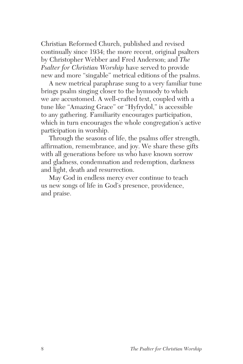Christian Reformed Church, published and revised continually since 1934; the more recent, original psalters by Christopher Webber and Fred Anderson; and *The Psalter for Christian Worship* have served to provide new and more "singable" metrical editions of the psalms.

A new metrical paraphrase sung to a very familiar tune brings psalm singing closer to the hymnody to which we are accustomed. A well-crafted text, coupled with a tune like "Amazing Grace" or "Hyfrydol," is accessible to any gathering. Familiarity encourages participation, which in turn encourages the whole congregation's active participation in worship.

Through the seasons of life, the psalms offer strength, affirmation, remembrance, and joy. We share these gifts with all generations before us who have known sorrow and gladness, condemnation and redemption, darkness and light, death and resurrection.

May God in endless mercy ever continue to teach us new songs of life in God's presence, providence, and praise.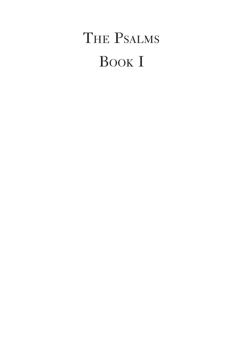# The Psalms Book I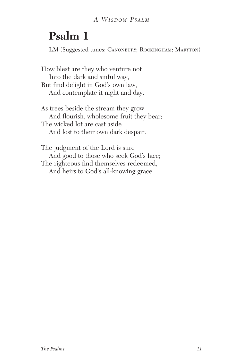## **Psalm 1**

LM (Suggested tunes: CANONBURY; ROCKINGHAM; MARYTON)

How blest are they who venture not Into the dark and sinful way, But find delight in God's own law, And contemplate it night and day.

As trees beside the stream they grow And flourish, wholesome fruit they bear; The wicked lot are cast aside And lost to their own dark despair.

The judgment of the Lord is sure And good to those who seek God's face; The righteous find themselves redeemed, And heirs to God's all-knowing grace.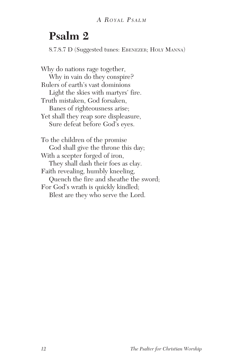#### *A Ro yal Psal m*

### **Psalm 2**

8.7.8.7 D (Suggested tunes: Ebenezer; Holy Manna)

Why do nations rage together, Why in vain do they conspire? Rulers of earth's vast dominions Light the skies with martyrs' fire. Truth mistaken, God forsaken, Banes of righteousness arise; Yet shall they reap sore displeasure, Sure defeat before God's eyes.

To the children of the promise God shall give the throne this day; With a scepter forged of iron, They shall dash their foes as clay. Faith revealing, humbly kneeling, Quench the fire and sheathe the sword; For God's wrath is quickly kindled; Blest are they who serve the Lord.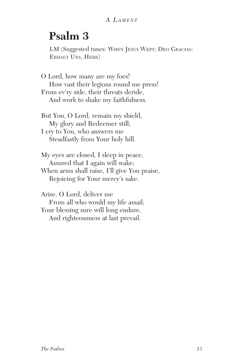#### A LAMENT

### **Psalm 3**

LM (Suggested tunes: WHEN JESUS WEPT; DEO GRACIAS; ERHALT UNS, HERR)

O Lord, how many are my foes! How vast their legions round me press! From ev'ry side, their threats deride, And work to shake my faithfulness.

But You, O Lord, remain my shield, My glory and Redeemer still; I cry to You, who answers me Steadfastly from Your holy hill.

My eyes are closed, I sleep in peace, Assured that I again will wake; When arms shall raise, I'll give You praise, Rejoicing for Your mercy's sake.

Arise, O Lord, deliver me From all who would my life assail; Your blessing sure will long endure, And righteousness at last prevail.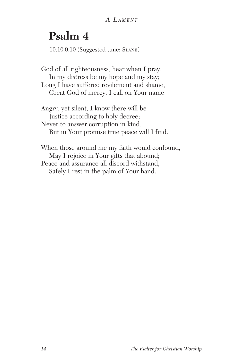#### A LAMENT

### **Psalm 4**

10.10.9.10 (Suggested tune: Slane)

God of all righteousness, hear when I pray, In my distress be my hope and my stay; Long I have suffered revilement and shame, Great God of mercy, I call on Your name.

Angry, yet silent, I know there will be Justice according to holy decree; Never to answer corruption in kind, But in Your promise true peace will I find.

When those around me my faith would confound, May I rejoice in Your gifts that abound; Peace and assurance all discord withstand, Safely I rest in the palm of Your hand.